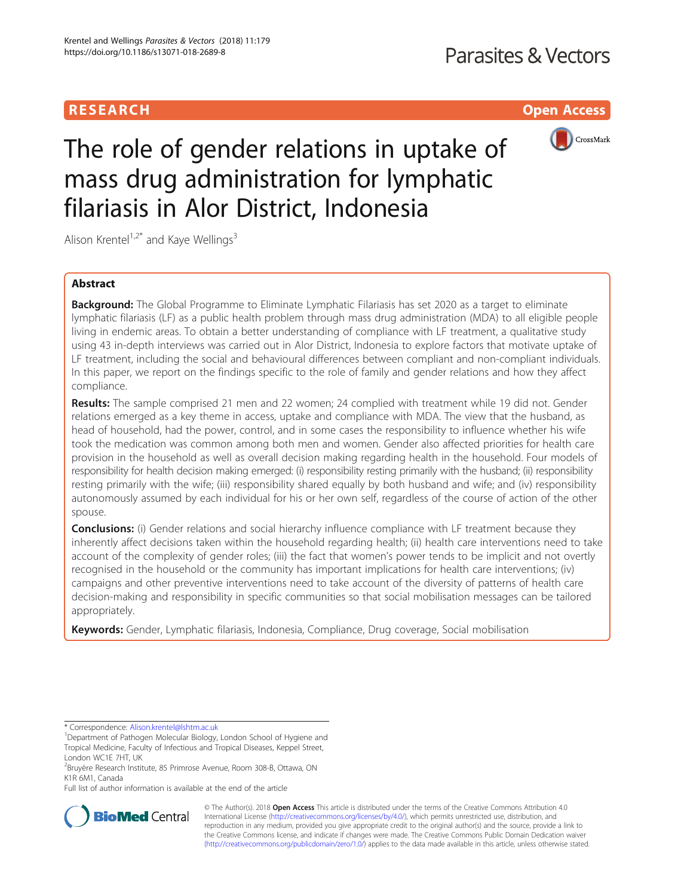# **RESEARCH CHILD CONTROL** CONTROL CONTROL CONTROL CONTROL CONTROL CONTROL CONTROL CONTROL CONTROL CONTROL CONTROL CONTROL CONTROL CONTROL CONTROL CONTROL CONTROL CONTROL CONTROL CONTROL CONTROL CONTROL CONTROL CONTROL CONTR



# The role of gender relations in uptake of mass drug administration for lymphatic filariasis in Alor District, Indonesia

Alison Krentel<sup>1,2\*</sup> and Kaye Wellings<sup>3</sup>

# Abstract

**Background:** The Global Programme to Eliminate Lymphatic Filariasis has set 2020 as a target to eliminate lymphatic filariasis (LF) as a public health problem through mass drug administration (MDA) to all eligible people living in endemic areas. To obtain a better understanding of compliance with LF treatment, a qualitative study using 43 in-depth interviews was carried out in Alor District, Indonesia to explore factors that motivate uptake of LF treatment, including the social and behavioural differences between compliant and non-compliant individuals. In this paper, we report on the findings specific to the role of family and gender relations and how they affect compliance.

Results: The sample comprised 21 men and 22 women; 24 complied with treatment while 19 did not. Gender relations emerged as a key theme in access, uptake and compliance with MDA. The view that the husband, as head of household, had the power, control, and in some cases the responsibility to influence whether his wife took the medication was common among both men and women. Gender also affected priorities for health care provision in the household as well as overall decision making regarding health in the household. Four models of responsibility for health decision making emerged: (i) responsibility resting primarily with the husband; (ii) responsibility resting primarily with the wife; (iii) responsibility shared equally by both husband and wife; and (iv) responsibility autonomously assumed by each individual for his or her own self, regardless of the course of action of the other spouse.

**Conclusions:** (i) Gender relations and social hierarchy influence compliance with LF treatment because they inherently affect decisions taken within the household regarding health; (ii) health care interventions need to take account of the complexity of gender roles; (iii) the fact that women's power tends to be implicit and not overtly recognised in the household or the community has important implications for health care interventions; (iv) campaigns and other preventive interventions need to take account of the diversity of patterns of health care decision-making and responsibility in specific communities so that social mobilisation messages can be tailored appropriately.

Keywords: Gender, Lymphatic filariasis, Indonesia, Compliance, Drug coverage, Social mobilisation

\* Correspondence: [Alison.krentel@lshtm.ac.uk](mailto:Alison.krentel@lshtm.ac.uk) <sup>1</sup>

Full list of author information is available at the end of the article



© The Author(s). 2018 Open Access This article is distributed under the terms of the Creative Commons Attribution 4.0 International License [\(http://creativecommons.org/licenses/by/4.0/](http://creativecommons.org/licenses/by/4.0/)), which permits unrestricted use, distribution, and reproduction in any medium, provided you give appropriate credit to the original author(s) and the source, provide a link to the Creative Commons license, and indicate if changes were made. The Creative Commons Public Domain Dedication waiver [\(http://creativecommons.org/publicdomain/zero/1.0/](http://creativecommons.org/publicdomain/zero/1.0/)) applies to the data made available in this article, unless otherwise stated.

<sup>&</sup>lt;sup>1</sup>Department of Pathogen Molecular Biology, London School of Hygiene and Tropical Medicine, Faculty of Infectious and Tropical Diseases, Keppel Street, London WC1E 7HT, UK

<sup>&</sup>lt;sup>2</sup> Bruyère Research Institute, 85 Primrose Avenue, Room 308-B, Ottawa, ON K1R 6M1, Canada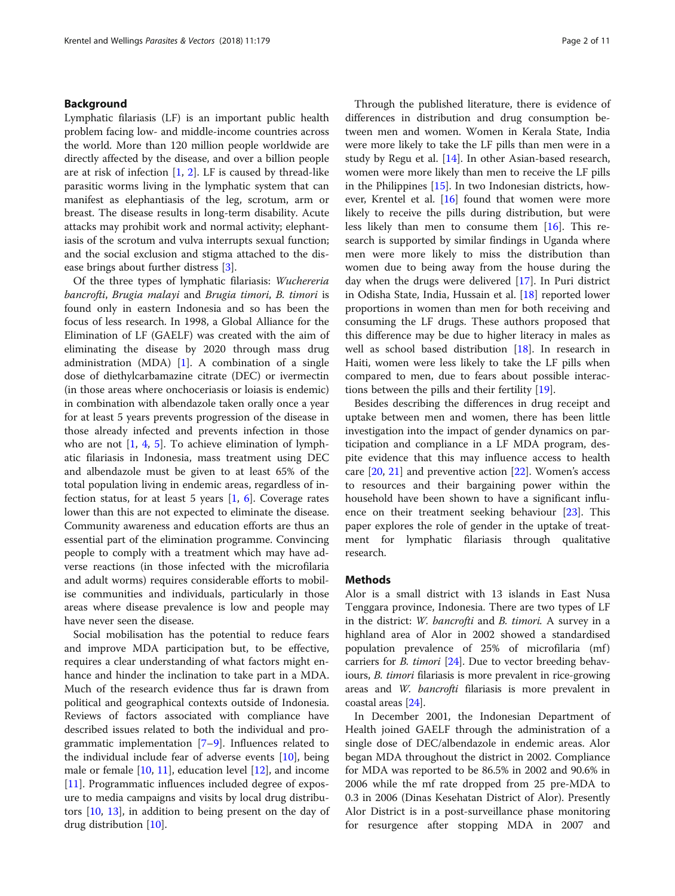# Background

Lymphatic filariasis (LF) is an important public health problem facing low- and middle-income countries across the world. More than 120 million people worldwide are directly affected by the disease, and over a billion people are at risk of infection  $[1, 2]$  $[1, 2]$  $[1, 2]$ . LF is caused by thread-like parasitic worms living in the lymphatic system that can manifest as elephantiasis of the leg, scrotum, arm or breast. The disease results in long-term disability. Acute attacks may prohibit work and normal activity; elephantiasis of the scrotum and vulva interrupts sexual function; and the social exclusion and stigma attached to the disease brings about further distress [[3\]](#page-9-0).

Of the three types of lymphatic filariasis: Wuchereria bancrofti, Brugia malayi and Brugia timori, B. timori is found only in eastern Indonesia and so has been the focus of less research. In 1998, a Global Alliance for the Elimination of LF (GAELF) was created with the aim of eliminating the disease by 2020 through mass drug administration (MDA) [[1](#page-9-0)]. A combination of a single dose of diethylcarbamazine citrate (DEC) or ivermectin (in those areas where onchoceriasis or loiasis is endemic) in combination with albendazole taken orally once a year for at least 5 years prevents progression of the disease in those already infected and prevents infection in those who are not  $[1, 4, 5]$  $[1, 4, 5]$  $[1, 4, 5]$  $[1, 4, 5]$  $[1, 4, 5]$  $[1, 4, 5]$  $[1, 4, 5]$ . To achieve elimination of lymphatic filariasis in Indonesia, mass treatment using DEC and albendazole must be given to at least 65% of the total population living in endemic areas, regardless of infection status, for at least 5 years  $\left[1, 6\right]$  $\left[1, 6\right]$  $\left[1, 6\right]$  $\left[1, 6\right]$  $\left[1, 6\right]$ . Coverage rates lower than this are not expected to eliminate the disease. Community awareness and education efforts are thus an essential part of the elimination programme. Convincing people to comply with a treatment which may have adverse reactions (in those infected with the microfilaria and adult worms) requires considerable efforts to mobilise communities and individuals, particularly in those areas where disease prevalence is low and people may have never seen the disease.

Social mobilisation has the potential to reduce fears and improve MDA participation but, to be effective, requires a clear understanding of what factors might enhance and hinder the inclination to take part in a MDA. Much of the research evidence thus far is drawn from political and geographical contexts outside of Indonesia. Reviews of factors associated with compliance have described issues related to both the individual and programmatic implementation [[7](#page-9-0)–[9](#page-9-0)]. Influences related to the individual include fear of adverse events [\[10](#page-9-0)], being male or female [[10,](#page-9-0) [11\]](#page-9-0), education level [\[12](#page-9-0)], and income [[11\]](#page-9-0). Programmatic influences included degree of exposure to media campaigns and visits by local drug distributors [\[10](#page-9-0), [13\]](#page-9-0), in addition to being present on the day of drug distribution [\[10](#page-9-0)].

Through the published literature, there is evidence of differences in distribution and drug consumption between men and women. Women in Kerala State, India were more likely to take the LF pills than men were in a study by Regu et al. [\[14](#page-9-0)]. In other Asian-based research, women were more likely than men to receive the LF pills in the Philippines [\[15](#page-9-0)]. In two Indonesian districts, however, Krentel et al. [[16\]](#page-9-0) found that women were more likely to receive the pills during distribution, but were less likely than men to consume them [\[16\]](#page-9-0). This research is supported by similar findings in Uganda where men were more likely to miss the distribution than women due to being away from the house during the day when the drugs were delivered [\[17\]](#page-9-0). In Puri district in Odisha State, India, Hussain et al. [[18\]](#page-9-0) reported lower proportions in women than men for both receiving and consuming the LF drugs. These authors proposed that this difference may be due to higher literacy in males as well as school based distribution [\[18](#page-9-0)]. In research in Haiti, women were less likely to take the LF pills when compared to men, due to fears about possible interactions between the pills and their fertility [\[19](#page-9-0)].

Besides describing the differences in drug receipt and uptake between men and women, there has been little investigation into the impact of gender dynamics on participation and compliance in a LF MDA program, despite evidence that this may influence access to health care [[20,](#page-9-0) [21\]](#page-9-0) and preventive action [[22\]](#page-9-0). Women's access to resources and their bargaining power within the household have been shown to have a significant influence on their treatment seeking behaviour [[23\]](#page-9-0). This paper explores the role of gender in the uptake of treatment for lymphatic filariasis through qualitative research.

# **Methods**

Alor is a small district with 13 islands in East Nusa Tenggara province, Indonesia. There are two types of LF in the district: W. bancrofti and B. timori. A survey in a highland area of Alor in 2002 showed a standardised population prevalence of 25% of microfilaria (mf) carriers for B. timori [\[24](#page-9-0)]. Due to vector breeding behaviours, B. timori filariasis is more prevalent in rice-growing areas and W. *bancrofti* filariasis is more prevalent in coastal areas [[24](#page-9-0)].

In December 2001, the Indonesian Department of Health joined GAELF through the administration of a single dose of DEC/albendazole in endemic areas. Alor began MDA throughout the district in 2002. Compliance for MDA was reported to be 86.5% in 2002 and 90.6% in 2006 while the mf rate dropped from 25 pre-MDA to 0.3 in 2006 (Dinas Kesehatan District of Alor). Presently Alor District is in a post-surveillance phase monitoring for resurgence after stopping MDA in 2007 and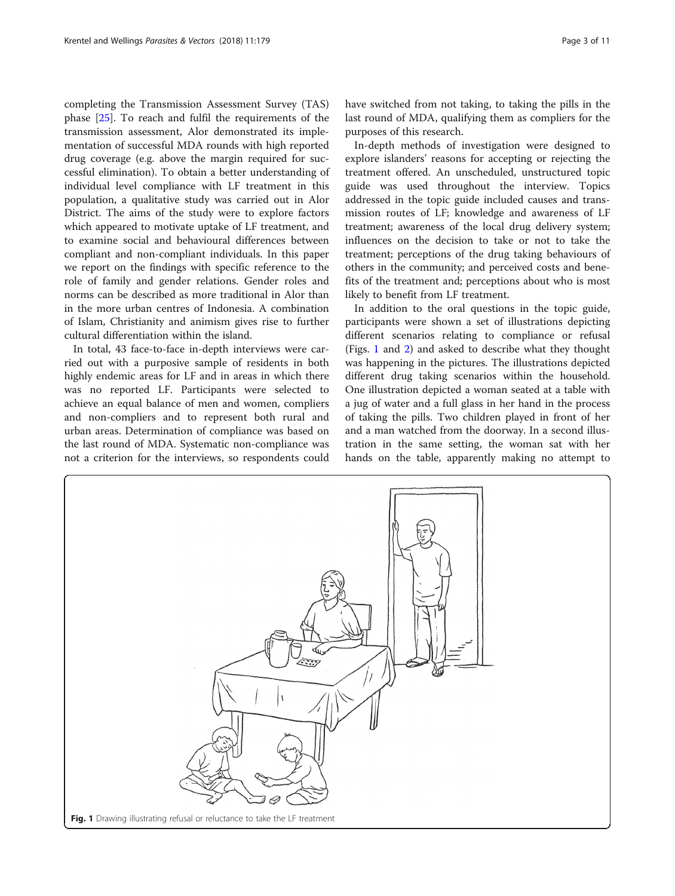completing the Transmission Assessment Survey (TAS) phase [\[25\]](#page-9-0). To reach and fulfil the requirements of the transmission assessment, Alor demonstrated its implementation of successful MDA rounds with high reported drug coverage (e.g. above the margin required for successful elimination). To obtain a better understanding of individual level compliance with LF treatment in this population, a qualitative study was carried out in Alor District. The aims of the study were to explore factors which appeared to motivate uptake of LF treatment, and to examine social and behavioural differences between compliant and non-compliant individuals. In this paper we report on the findings with specific reference to the role of family and gender relations. Gender roles and norms can be described as more traditional in Alor than in the more urban centres of Indonesia. A combination of Islam, Christianity and animism gives rise to further cultural differentiation within the island.

In total, 43 face-to-face in-depth interviews were carried out with a purposive sample of residents in both highly endemic areas for LF and in areas in which there was no reported LF. Participants were selected to achieve an equal balance of men and women, compliers and non-compliers and to represent both rural and urban areas. Determination of compliance was based on the last round of MDA. Systematic non-compliance was not a criterion for the interviews, so respondents could have switched from not taking, to taking the pills in the last round of MDA, qualifying them as compliers for the purposes of this research.

In-depth methods of investigation were designed to explore islanders' reasons for accepting or rejecting the treatment offered. An unscheduled, unstructured topic guide was used throughout the interview. Topics addressed in the topic guide included causes and transmission routes of LF; knowledge and awareness of LF treatment; awareness of the local drug delivery system; influences on the decision to take or not to take the treatment; perceptions of the drug taking behaviours of others in the community; and perceived costs and benefits of the treatment and; perceptions about who is most likely to benefit from LF treatment.

In addition to the oral questions in the topic guide, participants were shown a set of illustrations depicting different scenarios relating to compliance or refusal (Figs. 1 and [2\)](#page-3-0) and asked to describe what they thought was happening in the pictures. The illustrations depicted different drug taking scenarios within the household. One illustration depicted a woman seated at a table with a jug of water and a full glass in her hand in the process of taking the pills. Two children played in front of her and a man watched from the doorway. In a second illustration in the same setting, the woman sat with her hands on the table, apparently making no attempt to

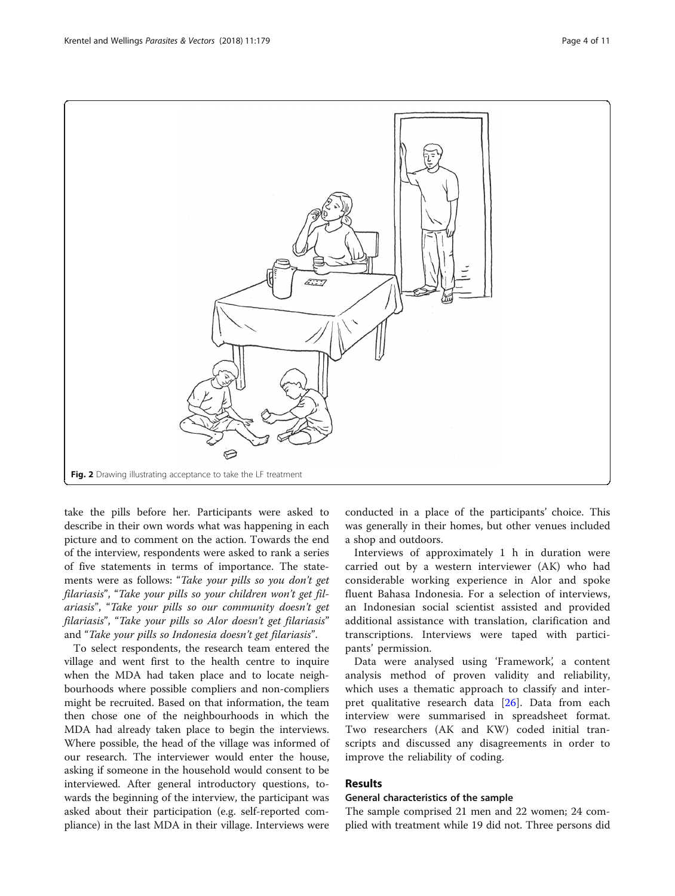<span id="page-3-0"></span>

take the pills before her. Participants were asked to describe in their own words what was happening in each picture and to comment on the action. Towards the end of the interview, respondents were asked to rank a series of five statements in terms of importance. The statements were as follows: "Take your pills so you don't get filariasis", "Take your pills so your children won't get filariasis", "Take your pills so our community doesn't get filariasis", "Take your pills so Alor doesn't get filariasis" and "Take your pills so Indonesia doesn't get filariasis".

To select respondents, the research team entered the village and went first to the health centre to inquire when the MDA had taken place and to locate neighbourhoods where possible compliers and non-compliers might be recruited. Based on that information, the team then chose one of the neighbourhoods in which the MDA had already taken place to begin the interviews. Where possible, the head of the village was informed of our research. The interviewer would enter the house, asking if someone in the household would consent to be interviewed. After general introductory questions, towards the beginning of the interview, the participant was asked about their participation (e.g. self-reported compliance) in the last MDA in their village. Interviews were

conducted in a place of the participants' choice. This was generally in their homes, but other venues included a shop and outdoors.

Interviews of approximately 1 h in duration were carried out by a western interviewer (AK) who had considerable working experience in Alor and spoke fluent Bahasa Indonesia. For a selection of interviews, an Indonesian social scientist assisted and provided additional assistance with translation, clarification and transcriptions. Interviews were taped with participants' permission.

Data were analysed using 'Framework', a content analysis method of proven validity and reliability, which uses a thematic approach to classify and inter-pret qualitative research data [[26\]](#page-9-0). Data from each interview were summarised in spreadsheet format. Two researchers (AK and KW) coded initial transcripts and discussed any disagreements in order to improve the reliability of coding.

# Results

# General characteristics of the sample

The sample comprised 21 men and 22 women; 24 complied with treatment while 19 did not. Three persons did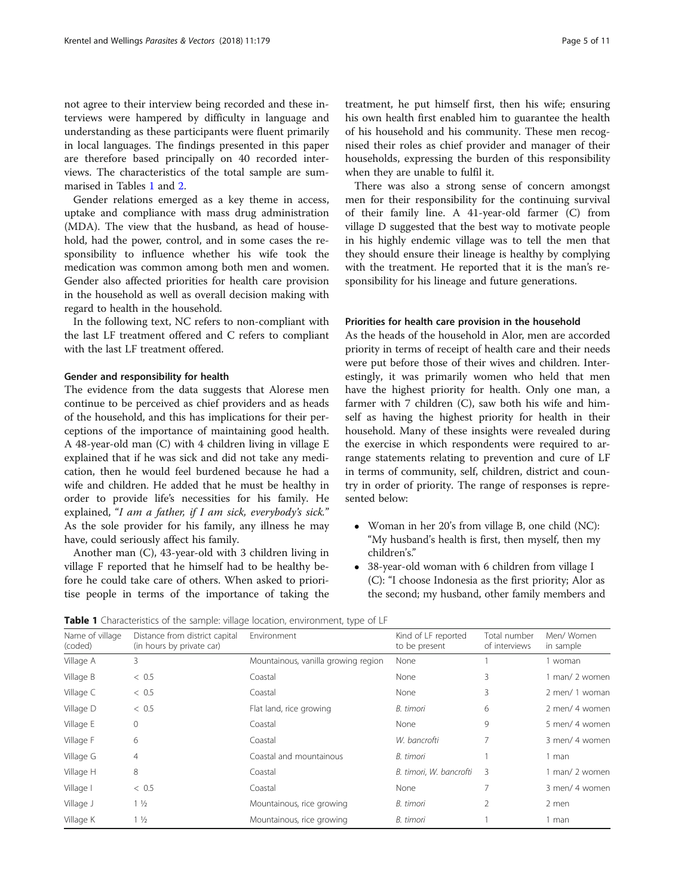not agree to their interview being recorded and these interviews were hampered by difficulty in language and understanding as these participants were fluent primarily in local languages. The findings presented in this paper are therefore based principally on 40 recorded interviews. The characteristics of the total sample are summarised in Tables 1 and [2](#page-5-0).

Gender relations emerged as a key theme in access, uptake and compliance with mass drug administration (MDA). The view that the husband, as head of household, had the power, control, and in some cases the responsibility to influence whether his wife took the medication was common among both men and women. Gender also affected priorities for health care provision in the household as well as overall decision making with regard to health in the household.

In the following text, NC refers to non-compliant with the last LF treatment offered and C refers to compliant with the last LF treatment offered.

# Gender and responsibility for health

The evidence from the data suggests that Alorese men continue to be perceived as chief providers and as heads of the household, and this has implications for their perceptions of the importance of maintaining good health. A 48-year-old man (C) with 4 children living in village E explained that if he was sick and did not take any medication, then he would feel burdened because he had a wife and children. He added that he must be healthy in order to provide life's necessities for his family. He explained, "I am a father, if I am sick, everybody's sick." As the sole provider for his family, any illness he may have, could seriously affect his family.

Another man (C), 43-year-old with 3 children living in village F reported that he himself had to be healthy before he could take care of others. When asked to prioritise people in terms of the importance of taking the treatment, he put himself first, then his wife; ensuring his own health first enabled him to guarantee the health of his household and his community. These men recognised their roles as chief provider and manager of their households, expressing the burden of this responsibility when they are unable to fulfil it.

There was also a strong sense of concern amongst men for their responsibility for the continuing survival of their family line. A 41-year-old farmer (C) from village D suggested that the best way to motivate people in his highly endemic village was to tell the men that they should ensure their lineage is healthy by complying with the treatment. He reported that it is the man's responsibility for his lineage and future generations.

# Priorities for health care provision in the household

As the heads of the household in Alor, men are accorded priority in terms of receipt of health care and their needs were put before those of their wives and children. Interestingly, it was primarily women who held that men have the highest priority for health. Only one man, a farmer with 7 children (C), saw both his wife and himself as having the highest priority for health in their household. Many of these insights were revealed during the exercise in which respondents were required to arrange statements relating to prevention and cure of LF in terms of community, self, children, district and country in order of priority. The range of responses is represented below:

- Woman in her 20's from village B, one child (NC): "My husband's health is first, then myself, then my children's."
- 38-year-old woman with 6 children from village I (C): "I choose Indonesia as the first priority; Alor as the second; my husband, other family members and

**Table 1** Characteristics of the sample: village location, environment, type of LF

| Name of village<br>(coded) | Distance from district capital<br>(in hours by private car) | Environment                         | Kind of LF reported<br>to be present | Total number<br>of interviews | Men/Women<br>in sample |
|----------------------------|-------------------------------------------------------------|-------------------------------------|--------------------------------------|-------------------------------|------------------------|
| Village A                  | 3                                                           | Mountainous, vanilla growing region | None                                 |                               | woman                  |
| Village B                  | < 0.5                                                       | Coastal                             | None                                 | 3                             | 1 man/2 women          |
| Village C                  | < 0.5                                                       | Coastal                             | None                                 | 3                             | 2 men/ 1 woman         |
| Village D                  | < 0.5                                                       | Flat land, rice growing             | B. timori                            | 6                             | 2 men/ 4 women         |
| Village E                  | 0                                                           | Coastal                             | None                                 | 9                             | 5 men/ 4 women         |
| Village F                  | 6                                                           | Coastal                             | W. bancrofti                         |                               | 3 men/ 4 women         |
| Village G                  | 4                                                           | Coastal and mountainous             | B. timori                            |                               | 1 man                  |
| Village H                  | 8                                                           | Coastal                             | B. timori, W. bancrofti              | 3                             | 1 man/ 2 women         |
| Village I                  | < 0.5                                                       | Coastal                             | None                                 |                               | 3 men/ 4 women         |
| Village J                  | $1\frac{1}{2}$                                              | Mountainous, rice growing           | B. timori                            | 2                             | 2 men                  |
| Village K                  | $1\frac{1}{2}$                                              | Mountainous, rice growing           | B. timori                            |                               | 1 man                  |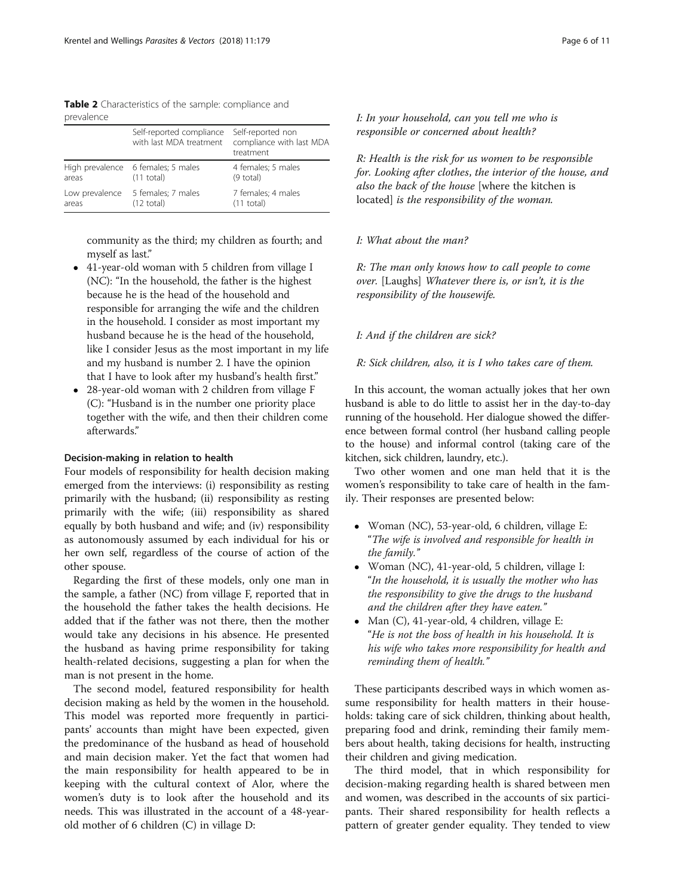<span id="page-5-0"></span>Table 2 Characteristics of the sample: compliance and prevalence

|       | Self-reported compliance Self-reported non<br>with last MDA treatment | compliance with last MDA<br>treatment |
|-------|-----------------------------------------------------------------------|---------------------------------------|
| areas | High prevalence 6 females; 5 males<br>$(11$ total)                    | 4 females; 5 males<br>$(9$ total)     |
| areas | Low prevalence 5 females; 7 males<br>$(12 \text{ total})$             | 7 females; 4 males<br>$(11$ total)    |

community as the third; my children as fourth; and myself as last."

- 41-year-old woman with 5 children from village I (NC): "In the household, the father is the highest because he is the head of the household and responsible for arranging the wife and the children in the household. I consider as most important my husband because he is the head of the household, like I consider Jesus as the most important in my life and my husband is number 2. I have the opinion that I have to look after my husband's health first."
- 28-year-old woman with 2 children from village F (C): "Husband is in the number one priority place together with the wife, and then their children come afterwards."

# Decision-making in relation to health

Four models of responsibility for health decision making emerged from the interviews: (i) responsibility as resting primarily with the husband; (ii) responsibility as resting primarily with the wife; (iii) responsibility as shared equally by both husband and wife; and (iv) responsibility as autonomously assumed by each individual for his or her own self, regardless of the course of action of the other spouse.

Regarding the first of these models, only one man in the sample, a father (NC) from village F, reported that in the household the father takes the health decisions. He added that if the father was not there, then the mother would take any decisions in his absence. He presented the husband as having prime responsibility for taking health-related decisions, suggesting a plan for when the man is not present in the home.

The second model, featured responsibility for health decision making as held by the women in the household. This model was reported more frequently in participants' accounts than might have been expected, given the predominance of the husband as head of household and main decision maker. Yet the fact that women had the main responsibility for health appeared to be in keeping with the cultural context of Alor, where the women's duty is to look after the household and its needs. This was illustrated in the account of a 48-yearold mother of 6 children (C) in village D:

I: In your household, can you tell me who is responsible or concerned about health?

R: Health is the risk for us women to be responsible for. Looking after clothes, the interior of the house, and also the back of the house [where the kitchen is located] is the responsibility of the woman.

# I: What about the man?

R: The man only knows how to call people to come over. [Laughs] Whatever there is, or isn't, it is the responsibility of the housewife.

## I: And if the children are sick?

R: Sick children, also, it is I who takes care of them.

In this account, the woman actually jokes that her own husband is able to do little to assist her in the day-to-day running of the household. Her dialogue showed the difference between formal control (her husband calling people to the house) and informal control (taking care of the kitchen, sick children, laundry, etc.).

Two other women and one man held that it is the women's responsibility to take care of health in the family. Their responses are presented below:

- Woman (NC), 53-year-old, 6 children, village E: "The wife is involved and responsible for health in the family."
- Woman (NC), 41-year-old, 5 children, village I: "In the household, it is usually the mother who has the responsibility to give the drugs to the husband and the children after they have eaten."
- Man (C), 41-year-old, 4 children, village E: "He is not the boss of health in his household. It is his wife who takes more responsibility for health and reminding them of health."

These participants described ways in which women assume responsibility for health matters in their households: taking care of sick children, thinking about health, preparing food and drink, reminding their family members about health, taking decisions for health, instructing their children and giving medication.

The third model, that in which responsibility for decision-making regarding health is shared between men and women, was described in the accounts of six participants. Their shared responsibility for health reflects a pattern of greater gender equality. They tended to view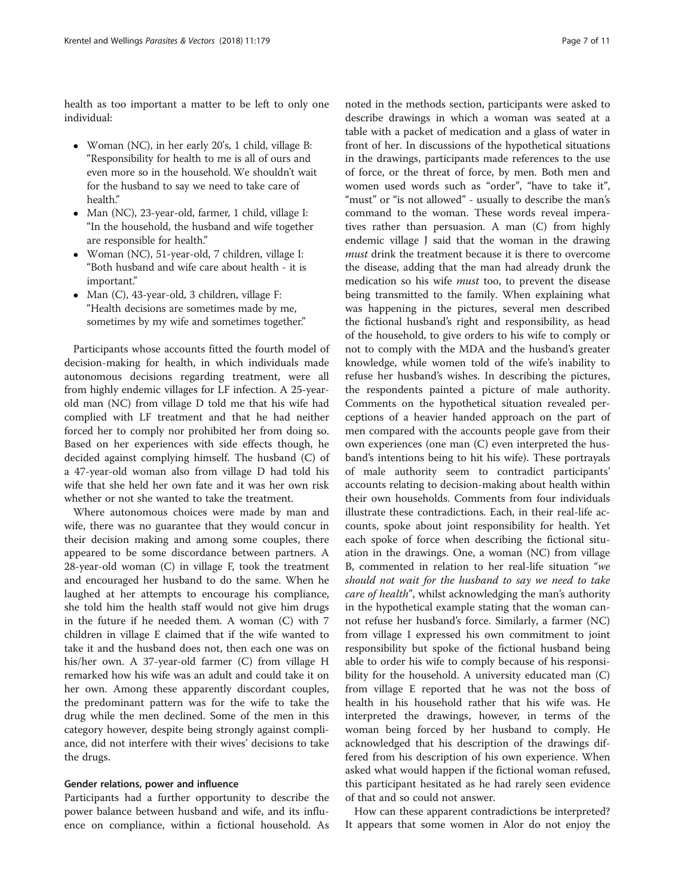health as too important a matter to be left to only one individual:

- Woman (NC), in her early 20's, 1 child, village B: "Responsibility for health to me is all of ours and even more so in the household. We shouldn't wait for the husband to say we need to take care of health."
- Man (NC), 23-year-old, farmer, 1 child, village I: "In the household, the husband and wife together are responsible for health."
- Woman (NC), 51-year-old, 7 children, village I: "Both husband and wife care about health - it is important."
- Man (C), 43-year-old, 3 children, village F: "Health decisions are sometimes made by me, sometimes by my wife and sometimes together."

Participants whose accounts fitted the fourth model of decision-making for health, in which individuals made autonomous decisions regarding treatment, were all from highly endemic villages for LF infection. A 25-yearold man (NC) from village D told me that his wife had complied with LF treatment and that he had neither forced her to comply nor prohibited her from doing so. Based on her experiences with side effects though, he decided against complying himself. The husband (C) of a 47-year-old woman also from village D had told his wife that she held her own fate and it was her own risk whether or not she wanted to take the treatment.

Where autonomous choices were made by man and wife, there was no guarantee that they would concur in their decision making and among some couples, there appeared to be some discordance between partners. A 28-year-old woman (C) in village F, took the treatment and encouraged her husband to do the same. When he laughed at her attempts to encourage his compliance, she told him the health staff would not give him drugs in the future if he needed them. A woman (C) with 7 children in village E claimed that if the wife wanted to take it and the husband does not, then each one was on his/her own. A 37-year-old farmer (C) from village H remarked how his wife was an adult and could take it on her own. Among these apparently discordant couples, the predominant pattern was for the wife to take the drug while the men declined. Some of the men in this category however, despite being strongly against compliance, did not interfere with their wives' decisions to take the drugs.

## Gender relations, power and influence

Participants had a further opportunity to describe the power balance between husband and wife, and its influence on compliance, within a fictional household. As

noted in the methods section, participants were asked to describe drawings in which a woman was seated at a table with a packet of medication and a glass of water in front of her. In discussions of the hypothetical situations in the drawings, participants made references to the use of force, or the threat of force, by men. Both men and women used words such as "order", "have to take it", "must" or "is not allowed" - usually to describe the man's command to the woman. These words reveal imperatives rather than persuasion. A man (C) from highly endemic village J said that the woman in the drawing must drink the treatment because it is there to overcome the disease, adding that the man had already drunk the medication so his wife must too, to prevent the disease being transmitted to the family. When explaining what was happening in the pictures, several men described the fictional husband's right and responsibility, as head of the household, to give orders to his wife to comply or not to comply with the MDA and the husband's greater knowledge, while women told of the wife's inability to refuse her husband's wishes. In describing the pictures, the respondents painted a picture of male authority. Comments on the hypothetical situation revealed perceptions of a heavier handed approach on the part of men compared with the accounts people gave from their own experiences (one man (C) even interpreted the husband's intentions being to hit his wife). These portrayals of male authority seem to contradict participants' accounts relating to decision-making about health within their own households. Comments from four individuals illustrate these contradictions. Each, in their real-life accounts, spoke about joint responsibility for health. Yet each spoke of force when describing the fictional situation in the drawings. One, a woman (NC) from village B, commented in relation to her real-life situation "we should not wait for the husband to say we need to take care of health", whilst acknowledging the man's authority in the hypothetical example stating that the woman cannot refuse her husband's force. Similarly, a farmer (NC) from village I expressed his own commitment to joint responsibility but spoke of the fictional husband being able to order his wife to comply because of his responsibility for the household. A university educated man (C) from village E reported that he was not the boss of health in his household rather that his wife was. He interpreted the drawings, however, in terms of the woman being forced by her husband to comply. He acknowledged that his description of the drawings differed from his description of his own experience. When asked what would happen if the fictional woman refused, this participant hesitated as he had rarely seen evidence of that and so could not answer.

How can these apparent contradictions be interpreted? It appears that some women in Alor do not enjoy the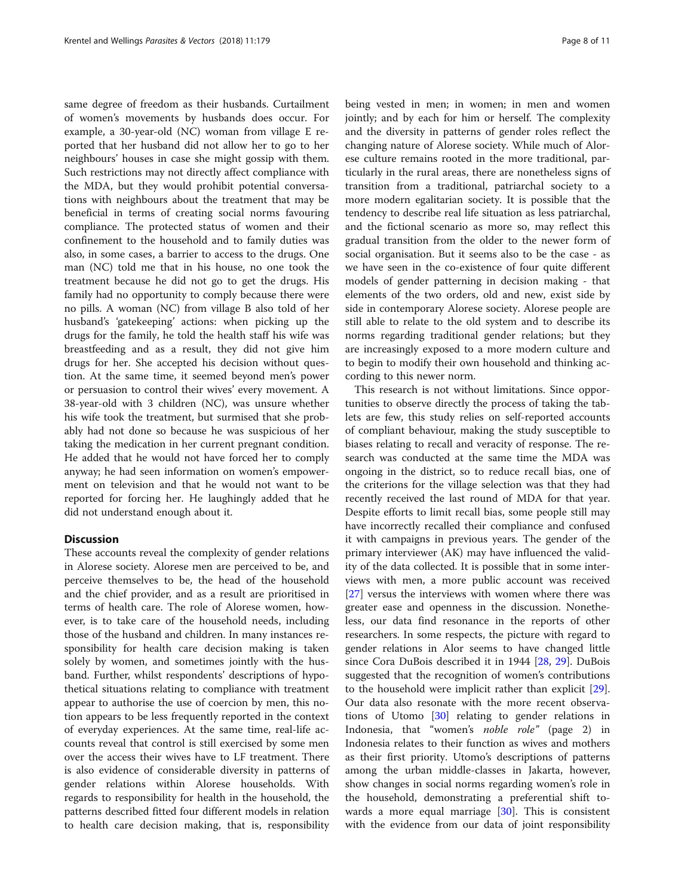same degree of freedom as their husbands. Curtailment of women's movements by husbands does occur. For example, a 30-year-old (NC) woman from village E reported that her husband did not allow her to go to her neighbours' houses in case she might gossip with them. Such restrictions may not directly affect compliance with the MDA, but they would prohibit potential conversations with neighbours about the treatment that may be beneficial in terms of creating social norms favouring compliance. The protected status of women and their confinement to the household and to family duties was also, in some cases, a barrier to access to the drugs. One man (NC) told me that in his house, no one took the treatment because he did not go to get the drugs. His family had no opportunity to comply because there were no pills. A woman (NC) from village B also told of her husband's 'gatekeeping' actions: when picking up the drugs for the family, he told the health staff his wife was breastfeeding and as a result, they did not give him drugs for her. She accepted his decision without question. At the same time, it seemed beyond men's power or persuasion to control their wives' every movement. A 38-year-old with 3 children (NC), was unsure whether his wife took the treatment, but surmised that she probably had not done so because he was suspicious of her taking the medication in her current pregnant condition. He added that he would not have forced her to comply anyway; he had seen information on women's empowerment on television and that he would not want to be reported for forcing her. He laughingly added that he did not understand enough about it.

# **Discussion**

These accounts reveal the complexity of gender relations in Alorese society. Alorese men are perceived to be, and perceive themselves to be, the head of the household and the chief provider, and as a result are prioritised in terms of health care. The role of Alorese women, however, is to take care of the household needs, including those of the husband and children. In many instances responsibility for health care decision making is taken solely by women, and sometimes jointly with the husband. Further, whilst respondents' descriptions of hypothetical situations relating to compliance with treatment appear to authorise the use of coercion by men, this notion appears to be less frequently reported in the context of everyday experiences. At the same time, real-life accounts reveal that control is still exercised by some men over the access their wives have to LF treatment. There is also evidence of considerable diversity in patterns of gender relations within Alorese households. With regards to responsibility for health in the household, the patterns described fitted four different models in relation to health care decision making, that is, responsibility

being vested in men; in women; in men and women jointly; and by each for him or herself. The complexity and the diversity in patterns of gender roles reflect the changing nature of Alorese society. While much of Alorese culture remains rooted in the more traditional, particularly in the rural areas, there are nonetheless signs of transition from a traditional, patriarchal society to a more modern egalitarian society. It is possible that the tendency to describe real life situation as less patriarchal, and the fictional scenario as more so, may reflect this gradual transition from the older to the newer form of social organisation. But it seems also to be the case - as we have seen in the co-existence of four quite different models of gender patterning in decision making - that elements of the two orders, old and new, exist side by side in contemporary Alorese society. Alorese people are still able to relate to the old system and to describe its norms regarding traditional gender relations; but they are increasingly exposed to a more modern culture and to begin to modify their own household and thinking according to this newer norm.

This research is not without limitations. Since opportunities to observe directly the process of taking the tablets are few, this study relies on self-reported accounts of compliant behaviour, making the study susceptible to biases relating to recall and veracity of response. The research was conducted at the same time the MDA was ongoing in the district, so to reduce recall bias, one of the criterions for the village selection was that they had recently received the last round of MDA for that year. Despite efforts to limit recall bias, some people still may have incorrectly recalled their compliance and confused it with campaigns in previous years. The gender of the primary interviewer (AK) may have influenced the validity of the data collected. It is possible that in some interviews with men, a more public account was received [[27\]](#page-9-0) versus the interviews with women where there was greater ease and openness in the discussion. Nonetheless, our data find resonance in the reports of other researchers. In some respects, the picture with regard to gender relations in Alor seems to have changed little since Cora DuBois described it in 1944 [[28](#page-9-0), [29\]](#page-10-0). DuBois suggested that the recognition of women's contributions to the household were implicit rather than explicit [\[29](#page-10-0)]. Our data also resonate with the more recent observations of Utomo [[30\]](#page-10-0) relating to gender relations in Indonesia, that "women's noble role" (page 2) in Indonesia relates to their function as wives and mothers as their first priority. Utomo's descriptions of patterns among the urban middle-classes in Jakarta, however, show changes in social norms regarding women's role in the household, demonstrating a preferential shift to-wards a more equal marriage [[30\]](#page-10-0). This is consistent with the evidence from our data of joint responsibility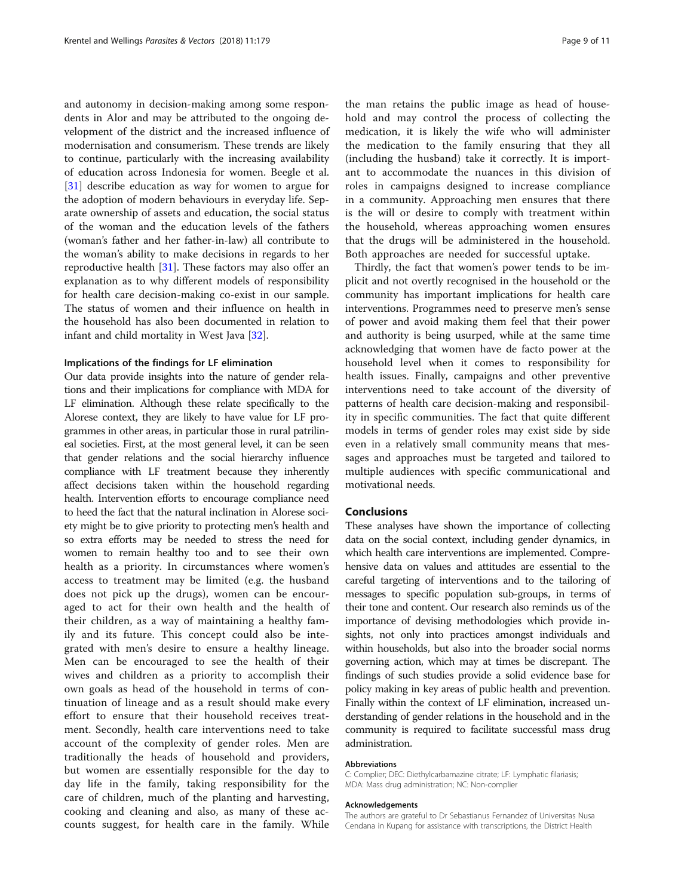and autonomy in decision-making among some respondents in Alor and may be attributed to the ongoing development of the district and the increased influence of modernisation and consumerism. These trends are likely to continue, particularly with the increasing availability of education across Indonesia for women. Beegle et al. [[31\]](#page-10-0) describe education as way for women to argue for the adoption of modern behaviours in everyday life. Separate ownership of assets and education, the social status of the woman and the education levels of the fathers (woman's father and her father-in-law) all contribute to the woman's ability to make decisions in regards to her reproductive health [\[31\]](#page-10-0). These factors may also offer an explanation as to why different models of responsibility for health care decision-making co-exist in our sample. The status of women and their influence on health in the household has also been documented in relation to infant and child mortality in West Java [[32\]](#page-10-0).

## Implications of the findings for LF elimination

Our data provide insights into the nature of gender relations and their implications for compliance with MDA for LF elimination. Although these relate specifically to the Alorese context, they are likely to have value for LF programmes in other areas, in particular those in rural patrilineal societies. First, at the most general level, it can be seen that gender relations and the social hierarchy influence compliance with LF treatment because they inherently affect decisions taken within the household regarding health. Intervention efforts to encourage compliance need to heed the fact that the natural inclination in Alorese society might be to give priority to protecting men's health and so extra efforts may be needed to stress the need for women to remain healthy too and to see their own health as a priority. In circumstances where women's access to treatment may be limited (e.g. the husband does not pick up the drugs), women can be encouraged to act for their own health and the health of their children, as a way of maintaining a healthy family and its future. This concept could also be integrated with men's desire to ensure a healthy lineage. Men can be encouraged to see the health of their wives and children as a priority to accomplish their own goals as head of the household in terms of continuation of lineage and as a result should make every effort to ensure that their household receives treatment. Secondly, health care interventions need to take account of the complexity of gender roles. Men are traditionally the heads of household and providers, but women are essentially responsible for the day to day life in the family, taking responsibility for the care of children, much of the planting and harvesting, cooking and cleaning and also, as many of these accounts suggest, for health care in the family. While

the man retains the public image as head of household and may control the process of collecting the medication, it is likely the wife who will administer the medication to the family ensuring that they all (including the husband) take it correctly. It is important to accommodate the nuances in this division of roles in campaigns designed to increase compliance in a community. Approaching men ensures that there is the will or desire to comply with treatment within the household, whereas approaching women ensures that the drugs will be administered in the household. Both approaches are needed for successful uptake.

Thirdly, the fact that women's power tends to be implicit and not overtly recognised in the household or the community has important implications for health care interventions. Programmes need to preserve men's sense of power and avoid making them feel that their power and authority is being usurped, while at the same time acknowledging that women have de facto power at the household level when it comes to responsibility for health issues. Finally, campaigns and other preventive interventions need to take account of the diversity of patterns of health care decision-making and responsibility in specific communities. The fact that quite different models in terms of gender roles may exist side by side even in a relatively small community means that messages and approaches must be targeted and tailored to multiple audiences with specific communicational and motivational needs.

# Conclusions

These analyses have shown the importance of collecting data on the social context, including gender dynamics, in which health care interventions are implemented. Comprehensive data on values and attitudes are essential to the careful targeting of interventions and to the tailoring of messages to specific population sub-groups, in terms of their tone and content. Our research also reminds us of the importance of devising methodologies which provide insights, not only into practices amongst individuals and within households, but also into the broader social norms governing action, which may at times be discrepant. The findings of such studies provide a solid evidence base for policy making in key areas of public health and prevention. Finally within the context of LF elimination, increased understanding of gender relations in the household and in the community is required to facilitate successful mass drug administration.

# Abbreviations

C: Complier; DEC: Diethylcarbamazine citrate; LF: Lymphatic filariasis; MDA: Mass drug administration; NC: Non-complier

#### Acknowledgements

The authors are grateful to Dr Sebastianus Fernandez of Universitas Nusa Cendana in Kupang for assistance with transcriptions, the District Health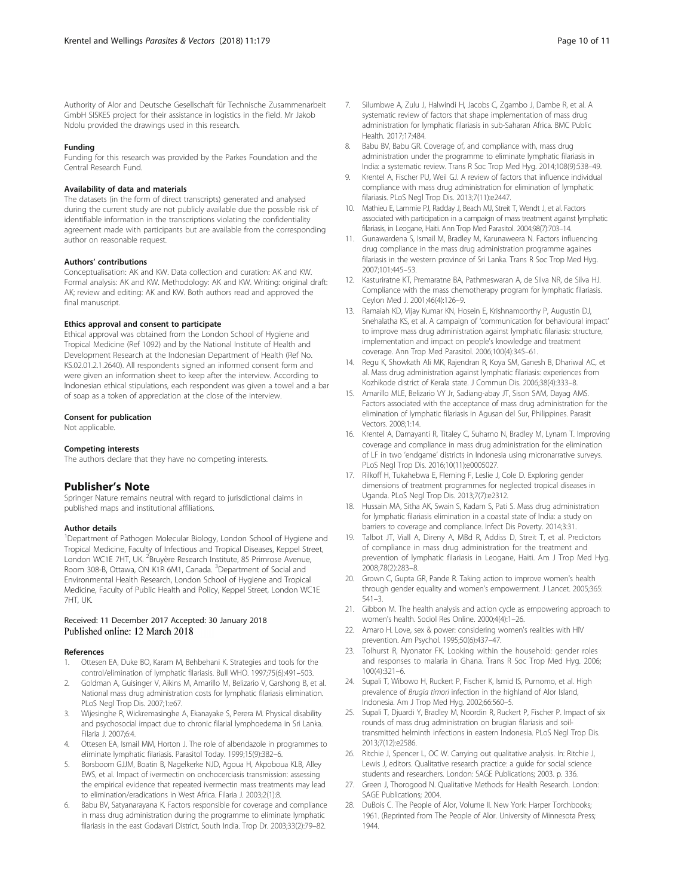<span id="page-9-0"></span>Authority of Alor and Deutsche Gesellschaft für Technische Zusammenarbeit GmbH SISKES project for their assistance in logistics in the field. Mr Jakob Ndolu provided the drawings used in this research.

## Funding

Funding for this research was provided by the Parkes Foundation and the Central Research Fund.

## Availability of data and materials

The datasets (in the form of direct transcripts) generated and analysed during the current study are not publicly available due the possible risk of identifiable information in the transcriptions violating the confidentiality agreement made with participants but are available from the corresponding author on reasonable request.

## Authors' contributions

Conceptualisation: AK and KW. Data collection and curation: AK and KW. Formal analysis: AK and KW. Methodology: AK and KW. Writing: original draft: AK; review and editing: AK and KW. Both authors read and approved the final manuscript.

#### Ethics approval and consent to participate

Ethical approval was obtained from the London School of Hygiene and Tropical Medicine (Ref 1092) and by the National Institute of Health and Development Research at the Indonesian Department of Health (Ref No. KS.02.01.2.1.2640). All respondents signed an informed consent form and were given an information sheet to keep after the interview. According to Indonesian ethical stipulations, each respondent was given a towel and a bar of soap as a token of appreciation at the close of the interview.

### Consent for publication

Not applicable.

## Competing interests

The authors declare that they have no competing interests.

## Publisher's Note

Springer Nature remains neutral with regard to jurisdictional claims in published maps and institutional affiliations.

## Author details

<sup>1</sup>Department of Pathogen Molecular Biology, London School of Hygiene and Tropical Medicine, Faculty of Infectious and Tropical Diseases, Keppel Street, London WC1E 7HT, UK. <sup>2</sup>Bruyère Research Institute, 85 Primrose Avenue, Room 308-B, Ottawa, ON K1R 6M1, Canada. <sup>3</sup>Department of Social and Environmental Health Research, London School of Hygiene and Tropical Medicine, Faculty of Public Health and Policy, Keppel Street, London WC1E 7HT, UK.

## Received: 11 December 2017 Accepted: 30 January 2018 Published online: 12 March 2018

#### References

- 1. Ottesen EA, Duke BO, Karam M, Behbehani K. Strategies and tools for the control/elimination of lymphatic filariasis. Bull WHO. 1997;75(6):491–503.
- 2. Goldman A, Guisinger V, Aikins M, Amarillo M, Belizario V, Garshong B, et al. National mass drug administration costs for lymphatic filariasis elimination. PLoS Negl Trop Dis. 2007;1:e67.
- 3. Wijesinghe R, Wickremasinghe A, Ekanayake S, Perera M. Physical disability and psychosocial impact due to chronic filarial lymphoedema in Sri Lanka. Filaria J. 2007;6:4.
- 4. Ottesen EA, Ismail MM, Horton J. The role of albendazole in programmes to eliminate lymphatic filariasis. Parasitol Today. 1999;15(9):382–6.
- 5. Borsboom GJJM, Boatin B, Nagelkerke NJD, Agoua H, Akpoboua KLB, Alley EWS, et al. Impact of ivermectin on onchocerciasis transmission: assessing the empirical evidence that repeated ivermectin mass treatments may lead to elimination/eradications in West Africa. Filaria J. 2003;2(1):8.
- Babu BV, Satyanarayana K. Factors responsible for coverage and compliance in mass drug administration during the programme to eliminate lymphatic filariasis in the east Godavari District, South India. Trop Dr. 2003;33(2):79–82.
- 7. Silumbwe A, Zulu J, Halwindi H, Jacobs C, Zgambo J, Dambe R, et al. A systematic review of factors that shape implementation of mass drug administration for lymphatic filariasis in sub-Saharan Africa. BMC Public Health. 2017;17:484.
- 8. Babu BV, Babu GR. Coverage of, and compliance with, mass drug administration under the programme to eliminate lymphatic filariasis in India: a systematic review. Trans R Soc Trop Med Hyg. 2014;108(9):538–49.
- 9. Krentel A, Fischer PU, Weil GJ. A review of factors that influence individual compliance with mass drug administration for elimination of lymphatic filariasis. PLoS Negl Trop Dis. 2013;7(11):e2447.
- 10. Mathieu E, Lammie PJ, Radday J, Beach MJ, Streit T, Wendt J, et al. Factors associated with participation in a campaign of mass treatment against lymphatic filariasis, in Leogane, Haiti. Ann Trop Med Parasitol. 2004;98(7):703–14.
- 11. Gunawardena S, Ismail M, Bradley M, Karunaweera N. Factors influencing drug compliance in the mass drug administration programme againes filariasis in the western province of Sri Lanka. Trans R Soc Trop Med Hyg. 2007;101:445–53.
- 12. Kasturiratne KT, Premaratne BA, Pathmeswaran A, de Silva NR, de Silva HJ. Compliance with the mass chemotherapy program for lymphatic filariasis. Ceylon Med J. 2001;46(4):126–9.
- 13. Ramaiah KD, Vijay Kumar KN, Hosein E, Krishnamoorthy P, Augustin DJ, Snehalatha KS, et al. A campaign of 'communication for behavioural impact' to improve mass drug administration against lymphatic filariasis: structure, implementation and impact on people's knowledge and treatment coverage. Ann Trop Med Parasitol. 2006;100(4):345–61.
- 14. Regu K, Showkath Ali MK, Rajendran R, Koya SM, Ganesh B, Dhariwal AC, et al. Mass drug administration against lymphatic filariasis: experiences from Kozhikode district of Kerala state. J Commun Dis. 2006;38(4):333–8.
- 15. Amarillo MLE, Belizario VY Jr, Sadiang-abay JT, Sison SAM, Dayag AMS. Factors associated with the acceptance of mass drug administration for the elimination of lymphatic filariasis in Agusan del Sur, Philippines. Parasit Vectors. 2008;1:14.
- 16. Krentel A, Damayanti R, Titaley C, Suharno N, Bradley M, Lynam T. Improving coverage and compliance in mass drug administration for the elimination of LF in two 'endgame' districts in Indonesia using micronarrative surveys. PLoS Negl Trop Dis. 2016;10(11):e0005027.
- 17. Rilkoff H, Tukahebwa E, Fleming F, Leslie J, Cole D. Exploring gender dimensions of treatment programmes for neglected tropical diseases in Uganda. PLoS Negl Trop Dis. 2013;7(7):e2312.
- 18. Hussain MA, Sitha AK, Swain S, Kadam S, Pati S. Mass drug administration for lymphatic filariasis elimination in a coastal state of India: a study on barriers to coverage and compliance. Infect Dis Poverty. 2014;3:31.
- 19. Talbot JT, Viall A, Direny A, MBd R, Addiss D, Streit T, et al. Predictors of compliance in mass drug administration for the treatment and prevention of lymphatic filariasis in Leogane, Haiti. Am J Trop Med Hyg. 2008;78(2):283–8.
- 20. Grown C, Gupta GR, Pande R. Taking action to improve women's health through gender equality and women's empowerment. J Lancet. 2005;365: 541–3.
- 21. Gibbon M. The health analysis and action cycle as empowering approach to women's health. Sociol Res Online. 2000;4(4):1–26.
- 22. Amaro H. Love, sex & power: considering women's realities with HIV prevention. Am Psychol. 1995;50(6):437–47.
- 23. Tolhurst R, Nyonator FK. Looking within the household: gender roles and responses to malaria in Ghana. Trans R Soc Trop Med Hyg. 2006; 100(4):321–6.
- 24. Supali T, Wibowo H, Ruckert P, Fischer K, Ismid IS, Purnomo, et al. High prevalence of Brugia timori infection in the highland of Alor Island, Indonesia. Am J Trop Med Hyg. 2002;66:560–5.
- 25. Supali T, Djuardi Y, Bradley M, Noordin R, Ruckert P, Fischer P. Impact of six rounds of mass drug administration on brugian filariasis and soiltransmitted helminth infections in eastern Indonesia. PLoS Negl Trop Dis. 2013;7(12):e2586.
- 26. Ritchie J, Spencer L, OC W. Carrying out qualitative analysis. In: Ritchie J, Lewis J, editors. Qualitative research practice: a guide for social science students and researchers. London: SAGE Publications; 2003. p. 336.
- 27. Green J, Thorogood N. Qualitative Methods for Health Research. London: SAGE Publications; 2004.
- 28. DuBois C. The People of Alor, Volume II. New York: Harper Torchbooks; 1961. (Reprinted from The People of Alor. University of Minnesota Press; 1944.